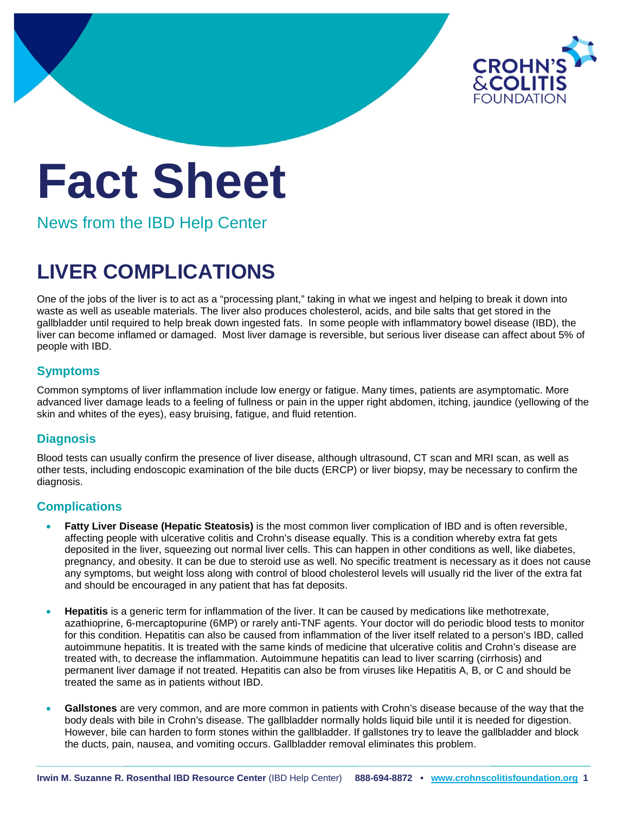

# **Fact Sheet**

News from the IBD Help Center

## **LIVER COMPLICATIONS**

One of the jobs of the liver is to act as a "processing plant," taking in what we ingest and helping to break it down into waste as well as useable materials. The liver also produces cholesterol, acids, and bile salts that get stored in the gallbladder until required to help break down ingested fats. In some people with inflammatory bowel disease (IBD), the liver can become inflamed or damaged. Most liver damage is reversible, but serious liver disease can affect about 5% of people with IBD.

### **Symptoms**

Common symptoms of liver inflammation include low energy or fatigue. Many times, patients are asymptomatic. More advanced liver damage leads to a feeling of fullness or pain in the upper right abdomen, itching, jaundice (yellowing of the skin and whites of the eyes), easy bruising, fatigue, and fluid retention.

### **Diagnosis**

Blood tests can usually confirm the presence of liver disease, although ultrasound, CT scan and MRI scan, as well as other tests, including endoscopic examination of the bile ducts (ERCP) or liver biopsy, may be necessary to confirm the diagnosis.

### **Complications**

- **Fatty Liver Disease (Hepatic Steatosis)** is the most common liver complication of IBD and is often reversible, affecting people with ulcerative colitis and Crohn's disease equally. This is a condition whereby extra fat gets deposited in the liver, squeezing out normal liver cells. This can happen in other conditions as well, like diabetes, pregnancy, and obesity. It can be due to steroid use as well. No specific treatment is necessary as it does not cause any symptoms, but weight loss along with control of blood cholesterol levels will usually rid the liver of the extra fat and should be encouraged in any patient that has fat deposits.
- **Hepatitis** is a generic term for inflammation of the liver. It can be caused by medications like methotrexate, azathioprine, 6-mercaptopurine (6MP) or rarely anti-TNF agents. Your doctor will do periodic blood tests to monitor for this condition. Hepatitis can also be caused from inflammation of the liver itself related to a person's IBD, called autoimmune hepatitis. It is treated with the same kinds of medicine that ulcerative colitis and Crohn's disease are treated with, to decrease the inflammation. Autoimmune hepatitis can lead to liver scarring (cirrhosis) and permanent liver damage if not treated. Hepatitis can also be from viruses like Hepatitis A, B, or C and should be treated the same as in patients without IBD.
- **Gallstones** are very common, and are more common in patients with Crohn's disease because of the way that the body deals with bile in Crohn's disease. The gallbladder normally holds liquid bile until it is needed for digestion. However, bile can harden to form stones within the gallbladder. If gallstones try to leave the gallbladder and block the ducts, pain, nausea, and vomiting occurs. Gallbladder removal eliminates this problem.